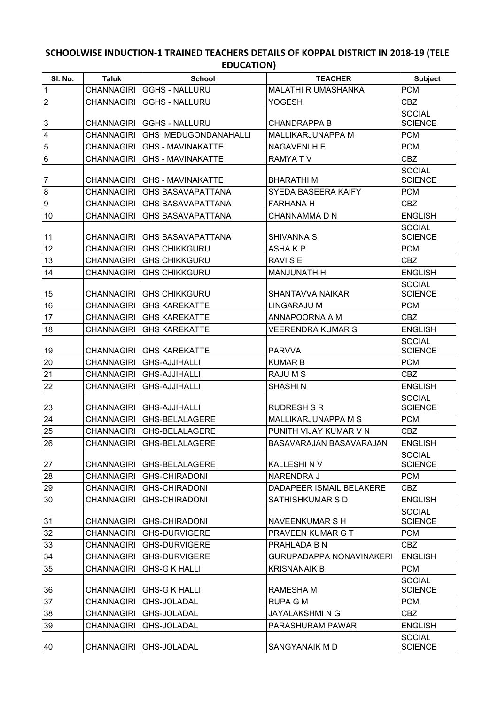## **SCHOOLWISE INDUCTION-1 TRAINED TEACHERS DETAILS OF KOPPAL DISTRICT IN 2018-19 (TELE EDUCATION)**

| SI. No.         | <b>Taluk</b>      | <b>School</b>               | <b>TEACHER</b>                  | <b>Subject</b>                  |
|-----------------|-------------------|-----------------------------|---------------------------------|---------------------------------|
| $\vert$ 1       | <b>CHANNAGIRI</b> | <b>GGHS - NALLURU</b>       | MALATHI R UMASHANKA             | <b>PCM</b>                      |
| $ 2\rangle$     | <b>CHANNAGIRI</b> | <b>GGHS - NALLURU</b>       | YOGESH                          | <b>CBZ</b>                      |
|                 |                   |                             |                                 | <b>SOCIAL</b>                   |
| $\overline{3}$  | <b>CHANNAGIRI</b> | <b>GGHS - NALLURU</b>       | <b>CHANDRAPPA B</b>             | <b>SCIENCE</b>                  |
| 4               | <b>CHANNAGIRI</b> | <b>GHS MEDUGONDANAHALLI</b> | MALLIKARJUNAPPA M               | <b>PCM</b>                      |
| $\vert 5 \vert$ | <b>CHANNAGIRI</b> | <b>GHS - MAVINAKATTE</b>    | NAGAVENI H E                    | <b>PCM</b>                      |
| 6               | <b>CHANNAGIRI</b> | <b>GHS - MAVINAKATTE</b>    | RAMYA TV                        | <b>CBZ</b>                      |
| 7               | <b>CHANNAGIRI</b> | <b>GHS - MAVINAKATTE</b>    | <b>BHARATHIM</b>                | <b>SOCIAL</b><br><b>SCIENCE</b> |
| 8               | <b>CHANNAGIRI</b> | <b>GHS BASAVAPATTANA</b>    | SYEDA BASEERA KAIFY             | <b>PCM</b>                      |
| 9               | <b>CHANNAGIRI</b> | <b>GHS BASAVAPATTANA</b>    | <b>FARHANA H</b>                | <b>CBZ</b>                      |
| 10              | <b>CHANNAGIRI</b> | <b>GHS BASAVAPATTANA</b>    | CHANNAMMA D N                   | <b>ENGLISH</b>                  |
| 11              | <b>CHANNAGIRI</b> | GHS BASAVAPATTANA           | SHIVANNA S                      | <b>SOCIAL</b><br><b>SCIENCE</b> |
| 12              | <b>CHANNAGIRI</b> | <b>GHS CHIKKGURU</b>        | <b>ASHAKP</b>                   | <b>PCM</b>                      |
| 13              | <b>CHANNAGIRI</b> | <b>GHS CHIKKGURU</b>        | RAVI S E                        | <b>CBZ</b>                      |
| 14              | <b>CHANNAGIRI</b> | <b>GHS CHIKKGURU</b>        | <b>MANJUNATH H</b>              | <b>ENGLISH</b>                  |
| 15              | <b>CHANNAGIRI</b> | <b>GHS CHIKKGURU</b>        | SHANTAVVA NAIKAR                | <b>SOCIAL</b><br><b>SCIENCE</b> |
| 16              | <b>CHANNAGIRI</b> | <b>GHS KAREKATTE</b>        | <b>LINGARAJU M</b>              | <b>PCM</b>                      |
| 17              | <b>CHANNAGIRI</b> | <b>GHS KAREKATTE</b>        | ANNAPOORNA A M                  | <b>CBZ</b>                      |
| 18              | <b>CHANNAGIRI</b> | <b>GHS KAREKATTE</b>        | <b>VEERENDRA KUMAR S</b>        | <b>ENGLISH</b>                  |
| 19              | <b>CHANNAGIRI</b> | <b>GHS KAREKATTE</b>        | <b>PARVVA</b>                   | <b>SOCIAL</b><br><b>SCIENCE</b> |
| 20              | <b>CHANNAGIRI</b> | <b>GHS-AJJIHALLI</b>        | <b>KUMAR B</b>                  | <b>PCM</b>                      |
| 21              | <b>CHANNAGIRI</b> | <b>GHS-AJJIHALLI</b>        | RAJU M S                        | <b>CBZ</b>                      |
| 22              | <b>CHANNAGIRI</b> | <b>GHS-AJJIHALLI</b>        | <b>SHASHIN</b>                  | <b>ENGLISH</b>                  |
| 23              | <b>CHANNAGIRI</b> | GHS-AJJIHALLI               | <b>RUDRESH S R</b>              | <b>SOCIAL</b><br><b>SCIENCE</b> |
| 24              | <b>CHANNAGIRI</b> | GHS-BELALAGERE              | MALLIKARJUNAPPA M S             | <b>PCM</b>                      |
| 25              | <b>CHANNAGIRI</b> | <b>GHS-BELALAGERE</b>       | PUNITH VIJAY KUMAR V N          | <b>CBZ</b>                      |
| 26              | <b>CHANNAGIRI</b> | <b>GHS-BELALAGERE</b>       | BASAVARAJAN BASAVARAJAN         | <b>ENGLISH</b>                  |
| 27              | <b>CHANNAGIRI</b> | <b>GHS-BELALAGERE</b>       | KALLESHIN V                     | <b>SOCIAL</b><br><b>SCIENCE</b> |
| 28              | <b>CHANNAGIRI</b> | <b>GHS-CHIRADONI</b>        | NARENDRA J                      | <b>PCM</b>                      |
| 29              | <b>CHANNAGIRI</b> | <b>GHS-CHIRADONI</b>        | DADAPEER ISMAIL BELAKERE        | <b>CBZ</b>                      |
| 30              | <b>CHANNAGIRI</b> | <b>GHS-CHIRADONI</b>        | SATHISHKUMAR S D                | <b>ENGLISH</b>                  |
| 31              | <b>CHANNAGIRI</b> | <b>GHS-CHIRADONI</b>        | <b>NAVEENKUMAR S H</b>          | <b>SOCIAL</b><br><b>SCIENCE</b> |
| 32              | <b>CHANNAGIRI</b> | <b>GHS-DURVIGERE</b>        | PRAVEEN KUMAR G T               | <b>PCM</b>                      |
| 33              | <b>CHANNAGIRI</b> | <b>GHS-DURVIGERE</b>        | PRAHLADA B N                    | <b>CBZ</b>                      |
| 34              | <b>CHANNAGIRI</b> | <b>GHS-DURVIGERE</b>        | <b>GURUPADAPPA NONAVINAKERI</b> | <b>ENGLISH</b>                  |
| 35              | <b>CHANNAGIRI</b> | <b>GHS-G K HALLI</b>        | <b>KRISNANAIK B</b>             | <b>PCM</b>                      |
| 36              | <b>CHANNAGIRI</b> | <b>GHS-G K HALLI</b>        | <b>RAMESHA M</b>                | <b>SOCIAL</b><br><b>SCIENCE</b> |
| 37              | <b>CHANNAGIRI</b> | GHS-JOLADAL                 | <b>RUPA G M</b>                 | <b>PCM</b>                      |
| 38              | <b>CHANNAGIRI</b> | GHS-JOLADAL                 | JAYALAKSHMI N G                 | <b>CBZ</b>                      |
| 39              | <b>CHANNAGIRI</b> | GHS-JOLADAL                 | PARASHURAM PAWAR                | <b>ENGLISH</b>                  |
| 40              | <b>CHANNAGIRI</b> | GHS-JOLADAL                 | SANGYANAIK MD                   | <b>SOCIAL</b><br><b>SCIENCE</b> |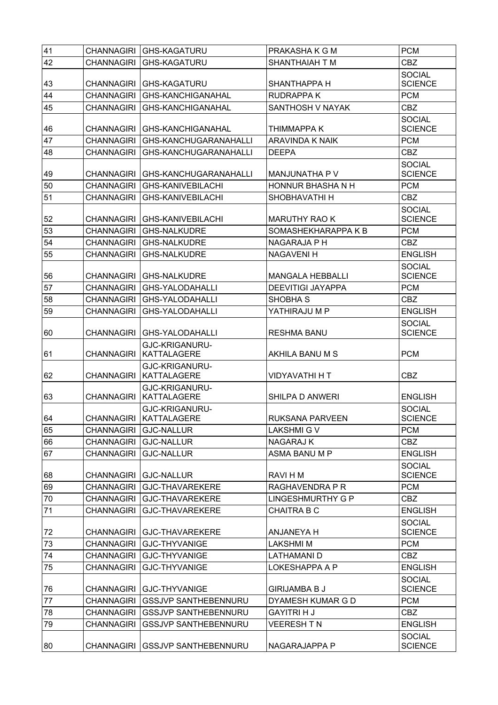| 41 |                       | CHANNAGIRI GHS-KAGATURU                    | PRAKASHA K G M                      | <b>PCM</b>                      |
|----|-----------------------|--------------------------------------------|-------------------------------------|---------------------------------|
| 42 | <b>CHANNAGIRI</b>     | <b>GHS-KAGATURU</b>                        | SHANTHAIAH T M                      | <b>CBZ</b>                      |
| 43 | CHANNAGIRI            | <b>GHS-KAGATURU</b>                        | SHANTHAPPA H                        | <b>SOCIAL</b><br><b>SCIENCE</b> |
| 44 | <b>CHANNAGIRI</b>     | <b>GHS-KANCHIGANAHAL</b>                   | <b>RUDRAPPAK</b>                    | <b>PCM</b>                      |
| 45 | <b>CHANNAGIRI</b>     | <b>GHS-KANCHIGANAHAL</b>                   | SANTHOSH V NAYAK                    | <b>CBZ</b>                      |
|    |                       |                                            |                                     | <b>SOCIAL</b>                   |
| 46 |                       | CHANNAGIRI GHS-KANCHIGANAHAL               | <b>THIMMAPPA K</b>                  | <b>SCIENCE</b>                  |
| 47 | <b>CHANNAGIRI</b>     | GHS-KANCHUGARANAHALLI                      | <b>ARAVINDA K NAIK</b>              | <b>PCM</b>                      |
| 48 | <b>CHANNAGIRI</b>     | <b>GHS-KANCHUGARANAHALLI</b>               | <b>DEEPA</b>                        | <b>CBZ</b>                      |
| 49 | CHANNAGIRI            | <b>GHS-KANCHUGARANAHALLI</b>               |                                     | <b>SOCIAL</b><br><b>SCIENCE</b> |
| 50 | <b>CHANNAGIRI</b>     | <b>GHS-KANIVEBILACHI</b>                   | MANJUNATHA P V<br>HONNUR BHASHA N H | <b>PCM</b>                      |
| 51 | <b>CHANNAGIRI</b>     | <b>GHS-KANIVEBILACHI</b>                   | SHOBHAVATHI H                       | <b>CBZ</b>                      |
|    |                       |                                            |                                     | <b>SOCIAL</b>                   |
| 52 |                       | CHANNAGIRI GHS-KANIVEBILACHI               | <b>MARUTHY RAO K</b>                | <b>SCIENCE</b>                  |
| 53 | CHANNAGIRI            | <b>GHS-NALKUDRE</b>                        | SOMASHEKHARAPPA K B                 | <b>PCM</b>                      |
| 54 | CHANNAGIRI            | <b>GHS-NALKUDRE</b>                        | NAGARAJA P H                        | <b>CBZ</b>                      |
| 55 | <b>CHANNAGIRI</b>     | <b>GHS-NALKUDRE</b>                        | <b>NAGAVENI H</b>                   | <b>ENGLISH</b>                  |
| 56 | CHANNAGIRI            | <b>GHS-NALKUDRE</b>                        | <b>MANGALA HEBBALLI</b>             | <b>SOCIAL</b><br><b>SCIENCE</b> |
| 57 | CHANNAGIRI            | <b>GHS-YALODAHALLI</b>                     | <b>DEEVITIGI JAYAPPA</b>            | <b>PCM</b>                      |
| 58 | <b>CHANNAGIRI</b>     | <b>GHS-YALODAHALLI</b>                     | SHOBHA <sub>S</sub>                 | <b>CBZ</b>                      |
| 59 | <b>CHANNAGIRI</b>     | GHS-YALODAHALLI                            | YATHIRAJU M P                       | <b>ENGLISH</b>                  |
|    |                       |                                            |                                     | <b>SOCIAL</b>                   |
| 60 | CHANNAGIRI            | GHS-YALODAHALLI                            | <b>RESHMA BANU</b>                  | <b>SCIENCE</b>                  |
| 61 | <b>CHANNAGIRI</b>     | GJC-KRIGANURU-<br><b>KATTALAGERE</b>       | AKHILA BANU M S                     | <b>PCM</b>                      |
|    |                       | GJC-KRIGANURU-                             |                                     |                                 |
| 62 |                       | CHANNAGIRI   KATTALAGERE                   | <b>VIDYAVATHI H T</b>               | <b>CBZ</b>                      |
| 63 | CHANNAGIRI            | GJC-KRIGANURU-<br><b>KATTALAGERE</b>       | SHILPA D ANWERI                     | <b>ENGLISH</b>                  |
| 64 |                       | GJC-KRIGANURU-<br>CHANNAGIRI   KATTALAGERE | RUKSANA PARVEEN                     | <b>SOCIAL</b><br><b>SCIENCE</b> |
| 65 | CHANNAGIRI GJC-NALLUR |                                            | LAKSHMI G V                         | <b>PCM</b>                      |
| 66 |                       | CHANNAGIRI GJC-NALLUR                      | <b>NAGARAJ K</b>                    | CBZ                             |
| 67 | <b>CHANNAGIRI</b>     | <b>GJC-NALLUR</b>                          | ASMA BANU M P                       | <b>ENGLISH</b>                  |
| 68 |                       | CHANNAGIRI   GJC-NALLUR                    | RAVI H M                            | <b>SOCIAL</b><br><b>SCIENCE</b> |
| 69 |                       | CHANNAGIRI   GJC-THAVAREKERE               | RAGHAVENDRA P R                     | <b>PCM</b>                      |
| 70 |                       | CHANNAGIRI GJC-THAVAREKERE                 | <b>LINGESHMURTHY G P</b>            | <b>CBZ</b>                      |
| 71 | <b>CHANNAGIRI</b>     | <b>GJC-THAVAREKERE</b>                     | <b>CHAITRA B C</b>                  | <b>ENGLISH</b>                  |
|    |                       |                                            |                                     | <b>SOCIAL</b>                   |
| 72 |                       | CHANNAGIRI   GJC-THAVAREKERE               | ANJANEYA H                          | <b>SCIENCE</b>                  |
| 73 | CHANNAGIRI            | GJC-THYVANIGE                              | <b>LAKSHMIM</b>                     | <b>PCM</b>                      |
| 74 |                       | CHANNAGIRI   GJC-THYVANIGE                 | <b>LATHAMANI D</b>                  | <b>CBZ</b>                      |
| 75 | <b>CHANNAGIRI</b>     | <b>GJC-THYVANIGE</b>                       | LOKESHAPPA A P                      | <b>ENGLISH</b>                  |
| 76 |                       | CHANNAGIRI   GJC-THYVANIGE                 | <b>GIRIJAMBA B J</b>                | <b>SOCIAL</b><br><b>SCIENCE</b> |
| 77 |                       | CHANNAGIRI GSSJVP SANTHEBENNURU            | DYAMESH KUMAR G D                   | <b>PCM</b>                      |
| 78 | CHANNAGIRI            | <b>GSSJVP SANTHEBENNURU</b>                | <b>GAYITRI H J</b>                  | <b>CBZ</b>                      |
| 79 | <b>CHANNAGIRI</b>     | <b>GSSJVP SANTHEBENNURU</b>                | <b>VEERESH TN</b>                   | <b>ENGLISH</b>                  |
| 80 |                       | CHANNAGIRI GSSJVP SANTHEBENNURU            | NAGARAJAPPA P                       | <b>SOCIAL</b><br><b>SCIENCE</b> |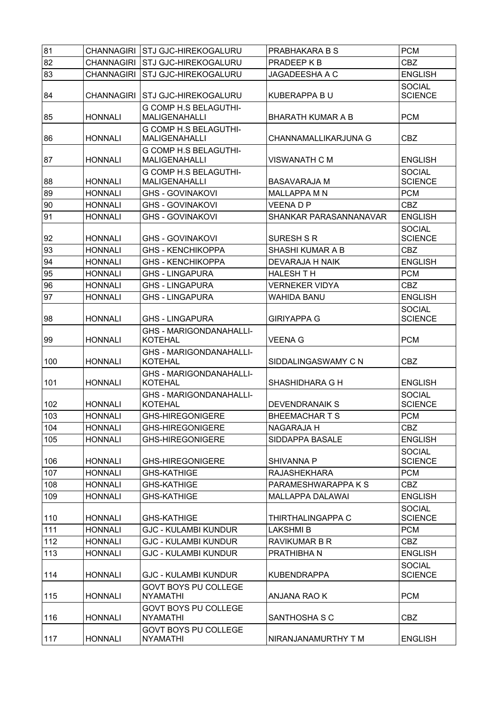| 81  |                | CHANNAGIRI STJ GJC-HIREKOGALURU                      | PRABHAKARA B S           | <b>PCM</b>                      |
|-----|----------------|------------------------------------------------------|--------------------------|---------------------------------|
| 82  |                | CHANNAGIRI STJ GJC-HIREKOGALURU                      | PRADEEP K B              | <b>CBZ</b>                      |
| 83  |                | CHANNAGIRI STJ GJC-HIREKOGALURU                      | JAGADEESHA A C           | <b>ENGLISH</b>                  |
| 84  |                | CHANNAGIRI STJ GJC-HIREKOGALURU                      | KUBERAPPA B U            | <b>SOCIAL</b><br><b>SCIENCE</b> |
| 85  | <b>HONNALI</b> | <b>G COMP H.S BELAGUTHI-</b><br><b>MALIGENAHALLI</b> | <b>BHARATH KUMAR A B</b> | <b>PCM</b>                      |
| 86  | <b>HONNALI</b> | <b>G COMP H.S BELAGUTHI-</b><br><b>MALIGENAHALLI</b> | CHANNAMALLIKARJUNA G     | <b>CBZ</b>                      |
| 87  | <b>HONNALI</b> | <b>G COMP H.S BELAGUTHI-</b><br><b>MALIGENAHALLI</b> | <b>VISWANATH C M</b>     | <b>ENGLISH</b>                  |
| 88  | <b>HONNALI</b> | <b>G COMP H.S BELAGUTHI-</b><br><b>MALIGENAHALLI</b> | <b>BASAVARAJA M</b>      | <b>SOCIAL</b><br><b>SCIENCE</b> |
| 89  | <b>HONNALI</b> | <b>GHS - GOVINAKOVI</b>                              | <b>MALLAPPA MN</b>       | <b>PCM</b>                      |
| 90  | <b>HONNALI</b> | <b>GHS - GOVINAKOVI</b>                              | <b>VEENADP</b>           | <b>CBZ</b>                      |
| 91  | <b>HONNALI</b> | <b>GHS - GOVINAKOVI</b>                              | SHANKAR PARASANNANAVAR   | <b>ENGLISH</b>                  |
| 92  | <b>HONNALI</b> | <b>GHS - GOVINAKOVI</b>                              | SURESH S R               | <b>SOCIAL</b><br><b>SCIENCE</b> |
| 93  | <b>HONNALI</b> | <b>GHS - KENCHIKOPPA</b>                             | <b>SHASHI KUMAR A B</b>  | <b>CBZ</b>                      |
| 94  | <b>HONNALI</b> | <b>GHS - KENCHIKOPPA</b>                             | DEVARAJA H NAIK          | <b>ENGLISH</b>                  |
| 95  | <b>HONNALI</b> | <b>GHS - LINGAPURA</b>                               | <b>HALESH T H</b>        | <b>PCM</b>                      |
| 96  | <b>HONNALI</b> | <b>GHS - LINGAPURA</b>                               | <b>VERNEKER VIDYA</b>    | <b>CBZ</b>                      |
| 97  | <b>HONNALI</b> | <b>GHS - LINGAPURA</b>                               | WAHIDA BANU              | <b>ENGLISH</b>                  |
| 98  | <b>HONNALI</b> | <b>GHS - LINGAPURA</b>                               | <b>GIRIYAPPA G</b>       | <b>SOCIAL</b><br><b>SCIENCE</b> |
| 99  | <b>HONNALI</b> | <b>GHS - MARIGONDANAHALLI-</b><br><b>KOTEHAL</b>     | <b>VEENA G</b>           | <b>PCM</b>                      |
| 100 | <b>HONNALI</b> | <b>GHS - MARIGONDANAHALLI-</b><br>KOTEHAL            | SIDDALINGASWAMY C N      | <b>CBZ</b>                      |
| 101 | <b>HONNALI</b> | <b>GHS - MARIGONDANAHALLI-</b><br><b>KOTEHAL</b>     | SHASHIDHARA G H          | <b>ENGLISH</b>                  |
| 102 | <b>HONNALI</b> | <b>GHS - MARIGONDANAHALLI-</b><br><b>KOTEHAL</b>     | <b>DEVENDRANAIK S</b>    | <b>SOCIAL</b><br><b>SCIENCE</b> |
| 103 | <b>HONNALI</b> | <b>GHS-HIREGONIGERE</b>                              | BHEEMACHAR T S           | <b>PCM</b>                      |
| 104 | <b>HONNALI</b> | <b>GHS-HIREGONIGERE</b>                              | NAGARAJA H               | CBZ                             |
| 105 | <b>HONNALI</b> | <b>GHS-HIREGONIGERE</b>                              | SIDDAPPA BASALE          | <b>ENGLISH</b>                  |
| 106 | <b>HONNALI</b> | <b>GHS-HIREGONIGERE</b>                              | SHIVANNA P               | <b>SOCIAL</b><br><b>SCIENCE</b> |
| 107 | <b>HONNALI</b> | <b>GHS-KATHIGE</b>                                   | <b>RAJASHEKHARA</b>      | <b>PCM</b>                      |
| 108 | <b>HONNALI</b> | <b>GHS-KATHIGE</b>                                   | PARAMESHWARAPPA K S      | CBZ                             |
| 109 | <b>HONNALI</b> | <b>GHS-KATHIGE</b>                                   | MALLAPPA DALAWAI         | <b>ENGLISH</b>                  |
| 110 | <b>HONNALI</b> | <b>GHS-KATHIGE</b>                                   | THIRTHALINGAPPA C        | <b>SOCIAL</b><br><b>SCIENCE</b> |
| 111 | <b>HONNALI</b> | <b>GJC - KULAMBI KUNDUR</b>                          | <b>LAKSHMI B</b>         | <b>PCM</b>                      |
| 112 | <b>HONNALI</b> | <b>GJC - KULAMBI KUNDUR</b>                          | <b>RAVIKUMAR B R</b>     | <b>CBZ</b>                      |
| 113 | <b>HONNALI</b> | <b>GJC - KULAMBI KUNDUR</b>                          | PRATHIBHA N              | <b>ENGLISH</b>                  |
| 114 | <b>HONNALI</b> | <b>GJC - KULAMBI KUNDUR</b>                          | <b>KUBENDRAPPA</b>       | <b>SOCIAL</b><br><b>SCIENCE</b> |
| 115 | <b>HONNALI</b> | <b>GOVT BOYS PU COLLEGE</b><br><b>NYAMATHI</b>       | ANJANA RAO K             | <b>PCM</b>                      |
| 116 | <b>HONNALI</b> | GOVT BOYS PU COLLEGE<br><b>NYAMATHI</b>              | SANTHOSHA S C            | <b>CBZ</b>                      |
| 117 | <b>HONNALI</b> | <b>GOVT BOYS PU COLLEGE</b><br><b>NYAMATHI</b>       | NIRANJANAMURTHY T M      | <b>ENGLISH</b>                  |